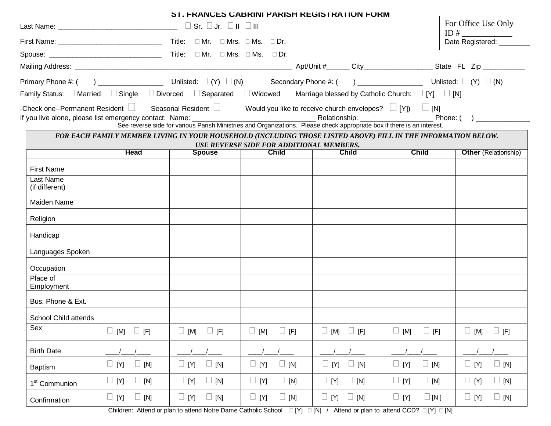|                             |                          |                                                                                                                                      | <b>SI. FRANCES CABRINI PARISH REGISTRATION FORM</b> |                                                            |                           |                                            |
|-----------------------------|--------------------------|--------------------------------------------------------------------------------------------------------------------------------------|-----------------------------------------------------|------------------------------------------------------------|---------------------------|--------------------------------------------|
|                             |                          |                                                                                                                                      |                                                     |                                                            |                           | For Office Use Only                        |
|                             |                          | First Name: $\sqrt{2}$ Dr.                                                                                                           |                                                     |                                                            |                           | ID # $\qquad$<br>Date Registered: ________ |
|                             |                          | $\textsf{Spouse: } \begin{tabular}{ l l } \hline \textsf{Suppose:} & \multicolumn{3}{ l }{\textsf{Suppose}} \\ \hline \end{tabular}$ |                                                     |                                                            |                           |                                            |
|                             |                          |                                                                                                                                      |                                                     |                                                            |                           |                                            |
|                             |                          |                                                                                                                                      |                                                     |                                                            |                           |                                            |
|                             |                          | Family Status: $\square$ Married $\square$ Single $\square$ Divorced $\square$ Separated $\square$ Widowed                           |                                                     | Marriage blessed by Catholic Church: $\Box$ [Y] $\Box$ [N] |                           |                                            |
|                             |                          | -Check one--Permanent Resident $\Box$ Seasonal Resident $\Box$ Would you like to receive church envelopes? $\Box$ [Y]) $\Box$ [N]    |                                                     |                                                            |                           |                                            |
|                             |                          |                                                                                                                                      |                                                     |                                                            |                           |                                            |
|                             |                          | FOR EACH FAMILY MEMBER LIVING IN YOUR HOUSEHOLD (INCLUDING THOSE LISTED ABOVE) FILL IN THE INFORMATION BELOW.                        | USE REVERSE SIDE FOR ADDITIONAL MEMBERS.            |                                                            |                           |                                            |
|                             | <b>Head</b>              | <b>Spouse</b>                                                                                                                        | <b>Child</b>                                        | <b>Child</b>                                               | <b>Child</b>              | <b>Other (Relationship)</b>                |
| <b>First Name</b>           |                          |                                                                                                                                      |                                                     |                                                            |                           |                                            |
| Last Name<br>(if different) |                          |                                                                                                                                      |                                                     |                                                            |                           |                                            |
| Maiden Name                 |                          |                                                                                                                                      |                                                     |                                                            |                           |                                            |
| Religion                    |                          |                                                                                                                                      |                                                     |                                                            |                           |                                            |
| Handicap                    |                          |                                                                                                                                      |                                                     |                                                            |                           |                                            |
| Languages Spoken            |                          |                                                                                                                                      |                                                     |                                                            |                           |                                            |
| Occupation                  |                          |                                                                                                                                      |                                                     |                                                            |                           |                                            |
| Place of<br>Employment      |                          |                                                                                                                                      |                                                     |                                                            |                           |                                            |
| Bus. Phone & Ext.           |                          |                                                                                                                                      |                                                     |                                                            |                           |                                            |
| School Child attends        |                          |                                                                                                                                      |                                                     |                                                            |                           |                                            |
| Sex                         | $\Box$ [M]<br>$\Box$ [F] | $\square$ [M]<br>$\Box$ [F]                                                                                                          | $\Box$ [F]<br>$\Box$ [M]                            | $\Box$ [F]<br>$\Box$ [M]                                   | $\Box$ [M]<br>$\Box$ [F]  | $\Box$ [F]<br>$\Box$ [M]                   |
| <b>Birth Date</b>           |                          |                                                                                                                                      |                                                     |                                                            |                           |                                            |
| <b>Baptism</b>              | $\Box$ [Y]<br>$\Box$ [N] | $\Box$ [Y]<br>$\Box$ [N]                                                                                                             | $\Box$ [Y]<br>$\Box$ [N]                            | $\Box$ [N]<br>$\Box$ [Y]                                   | $\Box$ [Y]<br>$\Box$ [N]  | $\Box$ [Y]<br>$\Box$ [N]                   |
| 1 <sup>st</sup> Communion   | $\Box$ [Y]<br>$\Box$ [N] | $\Box$ [N]<br>$\Box$ [Y]                                                                                                             | $\Box$ [Y]<br>$\Box$ [N]                            | $\Box$ [Y]<br>$\Box$ [N]                                   | $\Box$ [Y]<br>$\Box$ [N]  | $\Box$ [Y]<br>$\Box$ [N]                   |
| Confirmation                | $\Box$ [N]<br>$\Box$ [Y] | $\Box$ [Y]<br>$\Box$ [N]                                                                                                             | $\Box$ [Y]<br>$\Box$ [N]                            | $\Box$ [Y] $\Box$ [N]                                      | $\Box$ [Y]<br>$\Box$ [N ] | $\Box$ [Y]<br>$\Box$ [N]                   |
|                             |                          |                                                                                                                                      |                                                     |                                                            |                           |                                            |

Children: Attend or plan to attend Notre Dame Catholic School  $\Box$  [Y]  $\Box$  [N] / Attend or plan to attend CCD?  $\Box$  [Y]  $\Box$  [N]